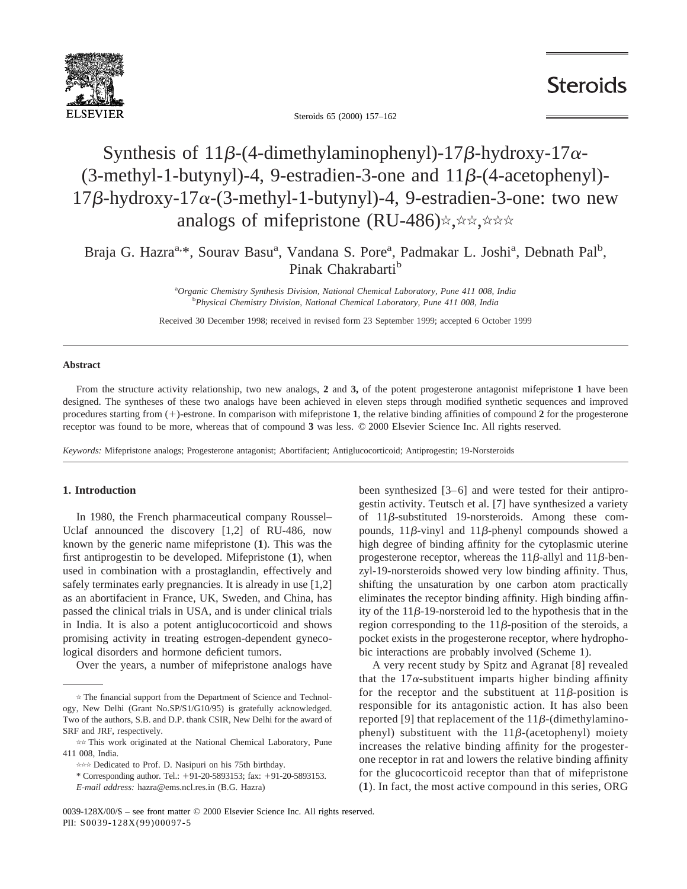

**Steroids** 

Steroids 65 (2000) 157–162

# Synthesis of 11 $\beta$ -(4-dimethylaminophenyl)-17 $\beta$ -hydroxy-17 $\alpha$ - $(3-methyl-1-butynyl)-4, 9-estradien-3-one and 11 $\beta$ - (4-acetophenyl) 17\beta$ -hydroxy- $17\alpha$ -(3-methyl-1-butynyl)-4, 9-estradien-3-one: two new analogs of mifepristone (RU-486) $\star$ ,  $\star \star$ ,  $\star \star \star$

Braja G. Hazra<sup>a, \*</sup>, Sourav Basu<sup>a</sup>, Vandana S. Pore<sup>a</sup>, Padmakar L. Joshi<sup>a</sup>, Debnath Pal<sup>b</sup>, Pinak Chakrabarti<sup>b</sup>

> a *Organic Chemistry Synthesis Division, National Chemical Laboratory, Pune 411 008, India* b *Physical Chemistry Division, National Chemical Laboratory, Pune 411 008, India*

Received 30 December 1998; received in revised form 23 September 1999; accepted 6 October 1999

#### **Abstract**

From the structure activity relationship, two new analogs, **2** and **3,** of the potent progesterone antagonist mifepristone **1** have been designed. The syntheses of these two analogs have been achieved in eleven steps through modified synthetic sequences and improved procedures starting from (+)-estrone. In comparison with mifepristone 1, the relative binding affinities of compound 2 for the progesterone receptor was found to be more, whereas that of compound **3** was less. © 2000 Elsevier Science Inc. All rights reserved.

*Keywords:* Mifepristone analogs; Progesterone antagonist; Abortifacient; Antiglucocorticoid; Antiprogestin; 19-Norsteroids

#### **1. Introduction**

In 1980, the French pharmaceutical company Roussel– Uclaf announced the discovery [1,2] of RU-486, now known by the generic name mifepristone (**1**). This was the first antiprogestin to be developed. Mifepristone (**1**), when used in combination with a prostaglandin, effectively and safely terminates early pregnancies. It is already in use [1,2] as an abortifacient in France, UK, Sweden, and China, has passed the clinical trials in USA, and is under clinical trials in India. It is also a potent antiglucocorticoid and shows promising activity in treating estrogen-dependent gynecological disorders and hormone deficient tumors.

Over the years, a number of mifepristone analogs have

been synthesized [3–6] and were tested for their antiprogestin activity. Teutsch et al. [7] have synthesized a variety of  $11\beta$ -substituted 19-norsteroids. Among these compounds,  $11\beta$ -vinyl and  $11\beta$ -phenyl compounds showed a high degree of binding affinity for the cytoplasmic uterine progesterone receptor, whereas the 11 $\beta$ -allyl and 11 $\beta$ -benzyl-19-norsteroids showed very low binding affinity. Thus, shifting the unsaturation by one carbon atom practically eliminates the receptor binding affinity. High binding affinity of the  $11\beta$ -19-norsteroid led to the hypothesis that in the region corresponding to the  $11\beta$ -position of the steroids, a pocket exists in the progesterone receptor, where hydrophobic interactions are probably involved (Scheme 1).

A very recent study by Spitz and Agranat [8] revealed that the  $17\alpha$ -substituent imparts higher binding affinity for the receptor and the substituent at  $11\beta$ -position is responsible for its antagonistic action. It has also been reported [9] that replacement of the  $11\beta$ -(dimethylaminophenyl) substituent with the  $11\beta$ -(acetophenyl) moiety increases the relative binding affinity for the progesterone receptor in rat and lowers the relative binding affinity for the glucocorticoid receptor than that of mifepristone (**1**). In fact, the most active compound in this series, ORG

 $*$  The financial support from the Department of Science and Technology, New Delhi (Grant No.SP/S1/G10/95) is gratefully acknowledged. Two of the authors, S.B. and D.P. thank CSIR, New Delhi for the award of SRF and JRF, respectively.

<sup>\*\*</sup> This work originated at the National Chemical Laboratory, Pune 411 008, India.

<sup>\*\*\*</sup> Dedicated to Prof. D. Nasipuri on his 75th birthday.

<sup>\*</sup> Corresponding author. Tel.: 191-20-5893153; fax: 191-20-5893153.

*E-mail address:* hazra@ems.ncl.res.in (B.G. Hazra)

<sup>0039-128</sup>X/00/\$ – see front matter © 2000 Elsevier Science Inc. All rights reserved. PII: S0039-128X(99)00097-5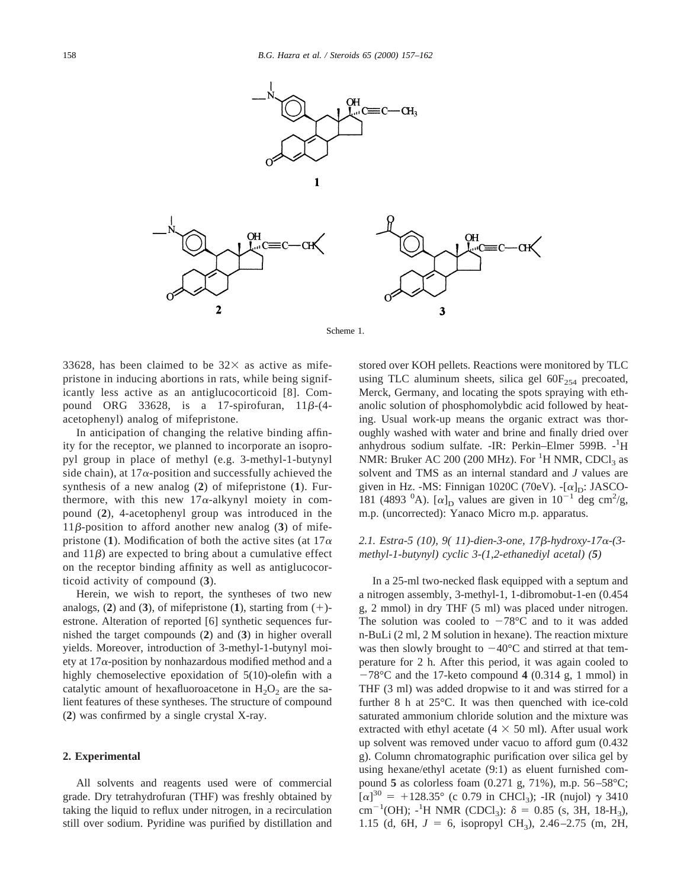



33628, has been claimed to be  $32\times$  as active as mifepristone in inducing abortions in rats, while being significantly less active as an antiglucocorticoid [8]. Compound ORG 33628, is a 17-spirofuran,  $11\beta$ -(4acetophenyl) analog of mifepristone.

In anticipation of changing the relative binding affinity for the receptor, we planned to incorporate an isopropyl group in place of methyl (e.g. 3-methyl-1-butynyl side chain), at  $17\alpha$ -position and successfully achieved the synthesis of a new analog (**2**) of mifepristone (**1**). Furthermore, with this new  $17\alpha$ -alkynyl moiety in compound (**2**), 4-acetophenyl group was introduced in the  $11\beta$ -position to afford another new analog (3) of mifepristone (1). Modification of both the active sites (at  $17\alpha$ ) and  $11\beta$ ) are expected to bring about a cumulative effect on the receptor binding affinity as well as antiglucocorticoid activity of compound (**3**).

Herein, we wish to report, the syntheses of two new analogs,  $(2)$  and  $(3)$ , of mifepristone  $(1)$ , starting from  $(+)$ estrone. Alteration of reported [6] synthetic sequences furnished the target compounds (**2**) and (**3**) in higher overall yields. Moreover, introduction of 3-methyl-1-butynyl moiety at  $17\alpha$ -position by nonhazardous modified method and a highly chemoselective epoxidation of 5(10)-olefin with a catalytic amount of hexafluoroacetone in  $H_2O_2$  are the salient features of these syntheses. The structure of compound (**2**) was confirmed by a single crystal X-ray.

#### **2. Experimental**

All solvents and reagents used were of commercial grade. Dry tetrahydrofuran (THF) was freshly obtained by taking the liquid to reflux under nitrogen, in a recirculation still over sodium. Pyridine was purified by distillation and stored over KOH pellets. Reactions were monitored by TLC using TLC aluminum sheets, silica gel  $60F_{254}$  precoated, Merck, Germany, and locating the spots spraying with ethanolic solution of phosphomolybdic acid followed by heating. Usual work-up means the organic extract was thoroughly washed with water and brine and finally dried over anhydrous sodium sulfate. -IR: Perkin-Elmer 599B. -<sup>1</sup>H NMR: Bruker AC 200 (200 MHz). For  ${}^{1}$ H NMR, CDCl<sub>3</sub> as solvent and TMS as an internal standard and *J* values are given in Hz. -MS: Finnigan 1020C (70eV). - $[\alpha]_D$ : JASCO-181 (4893  $^{0}$ A). [ $\alpha$ ]<sub>D</sub> values are given in 10<sup>-1</sup> deg cm<sup>2</sup>/g, m.p. (uncorrected): Yanaco Micro m.p. apparatus.

## *2.1. Estra-5 (10), 9( 11)-dien-3-one, 17*b*-hydroxy-17*a*-(3 methyl-1-butynyl) cyclic 3-(1,2-ethanediyl acetal) (5)*

In a 25-ml two-necked flask equipped with a septum and a nitrogen assembly, 3-methyl-1, 1-dibromobut-1-en (0.454 g, 2 mmol) in dry THF (5 ml) was placed under nitrogen. The solution was cooled to  $-78^{\circ}$ C and to it was added n-BuLi (2 ml, 2 M solution in hexane). The reaction mixture was then slowly brought to  $-40^{\circ}$ C and stirred at that temperature for 2 h. After this period, it was again cooled to  $-78^{\circ}$ C and the 17-keto compound 4 (0.314 g, 1 mmol) in THF (3 ml) was added dropwise to it and was stirred for a further 8 h at 25°C. It was then quenched with ice-cold saturated ammonium chloride solution and the mixture was extracted with ethyl acetate ( $4 \times 50$  ml). After usual work up solvent was removed under vacuo to afford gum (0.432 g). Column chromatographic purification over silica gel by using hexane/ethyl acetate (9:1) as eluent furnished compound **5** as colorless foam (0.271 g, 71%), m.p. 56–58°C;  $[\alpha]^{30}$  = +128.35° (c 0.79 in CHCl<sub>3</sub>); -IR (nujol)  $\gamma$  3410 cm<sup>-1</sup>(OH); <sup>1</sup>H NMR (CDCl<sub>3</sub>):  $\delta = 0.85$  (s, 3H, 18-H<sub>3</sub>), 1.15 (d, 6H,  $J = 6$ , isopropyl CH<sub>3</sub>), 2.46–2.75 (m, 2H,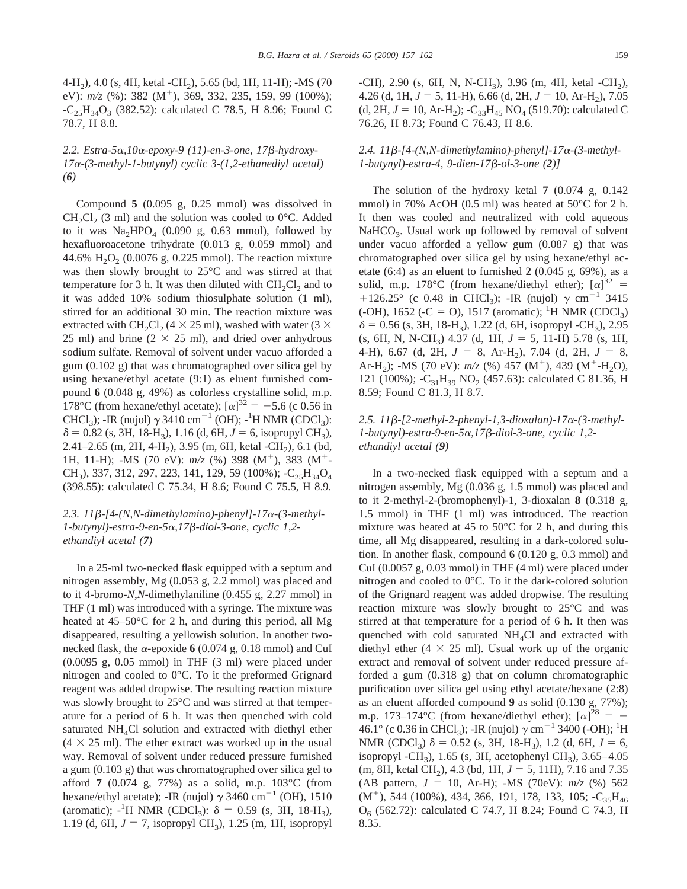4-H<sub>2</sub>), 4.0 (s, 4H, ketal -CH<sub>2</sub>), 5.65 (bd, 1H, 11-H); -MS (70 eV):  $m/z$  (%): 382 (M<sup>+</sup>), 369, 332, 235, 159, 99 (100%);  $-C_{25}H_{34}O_3$  (382.52): calculated C 78.5, H 8.96; Found C 78.7, H 8.8.

# *2.2. Estra-5*a*,10*a*-epoxy-9 (11)-en-3-one, 17*b*-hydroxy-17*a*-(3-methyl-1-butynyl) cyclic 3-(1,2-ethanediyl acetal) (6)*

Compound **5** (0.095 g, 0.25 mmol) was dissolved in  $CH_2Cl_2$  (3 ml) and the solution was cooled to 0°C. Added to it was  $\text{Na}_2\text{HPO}_4$  (0.090 g, 0.63 mmol), followed by hexafluoroacetone trihydrate (0.013 g, 0.059 mmol) and 44.6%  $H_2O_2$  (0.0076 g, 0.225 mmol). The reaction mixture was then slowly brought to 25°C and was stirred at that temperature for 3 h. It was then diluted with  $CH_2Cl_2$  and to it was added 10% sodium thiosulphate solution (1 ml), stirred for an additional 30 min. The reaction mixture was extracted with CH<sub>2</sub>Cl<sub>2</sub> (4  $\times$  25 ml), washed with water (3  $\times$ 25 ml) and brine ( $2 \times 25$  ml), and dried over anhydrous sodium sulfate. Removal of solvent under vacuo afforded a gum (0.102 g) that was chromatographed over silica gel by using hexane/ethyl acetate (9:1) as eluent furnished compound **6** (0.048 g, 49%) as colorless crystalline solid, m.p. 178°C (from hexane/ethyl acetate);  $[\alpha]^{32} = -5.6$  (c 0.56 in CHCl<sub>3</sub>); -IR (nujol)  $\gamma$  3410 cm<sup>-1</sup> (OH); -<sup>1</sup>H NMR (CDCl<sub>3</sub>):  $\delta = 0.82$  (s, 3H, 18-H<sub>3</sub>), 1.16 (d, 6H,  $J = 6$ , isopropyl CH<sub>3</sub>), 2.41–2.65 (m, 2H, 4-H<sub>2</sub>), 3.95 (m, 6H, ketal -CH<sub>2</sub>), 6.1 (bd, 1H, 11-H); -MS (70 eV):  $m/z$  (%) 398 (M<sup>+</sup>), 383 (M<sup>+</sup>-CH<sub>3</sub>), 337, 312, 297, 223, 141, 129, 59 (100%);  $-C_{25}H_{34}O_4$ (398.55): calculated C 75.34, H 8.6; Found C 75.5, H 8.9.

## *2.3. 11*b*-[4-(N,N-dimethylamino)-phenyl]-17*a*-(3-methyl-1-butynyl)-estra-9-en-5*a*,17*b*-diol-3-one, cyclic 1,2 ethandiyl acetal (7)*

In a 25-ml two-necked flask equipped with a septum and nitrogen assembly, Mg (0.053 g, 2.2 mmol) was placed and to it 4-bromo-*N*,*N*-dimethylaniline (0.455 g, 2.27 mmol) in THF (1 ml) was introduced with a syringe. The mixture was heated at 45–50°C for 2 h, and during this period, all Mg disappeared, resulting a yellowish solution. In another twonecked flask, the  $\alpha$ -epoxide 6 (0.074 g, 0.18 mmol) and CuI (0.0095 g, 0.05 mmol) in THF (3 ml) were placed under nitrogen and cooled to 0°C. To it the preformed Grignard reagent was added dropwise. The resulting reaction mixture was slowly brought to 25°C and was stirred at that temperature for a period of 6 h. It was then quenched with cold saturated NH<sub>4</sub>Cl solution and extracted with diethyl ether  $(4 \times 25 \text{ ml})$ . The ether extract was worked up in the usual way. Removal of solvent under reduced pressure furnished a gum (0.103 g) that was chromatographed over silica gel to afford **7** (0.074 g, 77%) as a solid, m.p. 103°C (from hexane/ethyl acetate); -IR (nujol)  $\gamma$  3460 cm<sup>-1</sup> (OH), 1510 (aromatic);  $-$ <sup>1</sup>H NMR (CDCl<sub>3</sub>):  $\delta$  = 0.59 (s, 3H, 18-H<sub>3</sub>), 1.19 (d, 6H,  $J = 7$ , isopropyl CH<sub>3</sub>), 1.25 (m, 1H, isopropyl -CH), 2.90 (s, 6H, N, N-CH<sub>3</sub>), 3.96 (m, 4H, ketal -CH<sub>2</sub>), 4.26 (d, 1H,  $J = 5$ , 11-H), 6.66 (d, 2H,  $J = 10$ , Ar-H<sub>2</sub>), 7.05 (d, 2H,  $J = 10$ , Ar-H<sub>2</sub>); -C<sub>33</sub>H<sub>45</sub> NO<sub>4</sub> (519.70): calculated C 76.26, H 8.73; Found C 76.43, H 8.6.

## *2.4. 11*b*-[4-(N,N-dimethylamino)-phenyl]-17*a*-(3-methyl-1-butynyl)-estra-4, 9-dien-17*b*-ol-3-one (2)]*

The solution of the hydroxy ketal **7** (0.074 g, 0.142 mmol) in 70% AcOH (0.5 ml) was heated at 50°C for 2 h. It then was cooled and neutralized with cold aqueous NaHCO<sub>3</sub>. Usual work up followed by removal of solvent under vacuo afforded a yellow gum (0.087 g) that was chromatographed over silica gel by using hexane/ethyl acetate (6:4) as an eluent to furnished **2** (0.045 g, 69%), as a solid, m.p. 178°C (from hexane/diethyl ether);  $[\alpha]^{32}$  = +126.25° (c 0.48 in CHCl<sub>3</sub>); -IR (nujol)  $\gamma$  cm<sup>-1</sup> 3415  $(-OH)$ , 1652  $(-C = O)$ , 1517 (aromatic); <sup>1</sup>H NMR (CDCl<sub>3</sub>)  $\delta$  = 0.56 (s, 3H, 18-H<sub>3</sub>), 1.22 (d, 6H, isopropyl -CH<sub>3</sub>), 2.95 (s, 6H, N, N-CH<sub>3</sub>) 4.37 (d, 1H,  $J = 5$ , 11-H) 5.78 (s, 1H, 4-H), 6.67 (d, 2H,  $J = 8$ , Ar-H<sub>2</sub>), 7.04 (d, 2H,  $J = 8$ , Ar-H<sub>2</sub>); -MS (70 eV):  $m/z$  (%) 457 (M<sup>+</sup>), 439 (M<sup>+</sup>-H<sub>2</sub>O), 121 (100%); -C<sub>31</sub>H<sub>39</sub> NO<sub>2</sub> (457.63): calculated C 81.36, H 8.59; Found C 81.3, H 8.7.

## *2.5. 11*b*-[2-methyl-2-phenyl-1,3-dioxalan)-17*a*-(3-methyl-1-butynyl)-estra-9-en-5*a*,17*b*-diol-3-one, cyclic 1,2 ethandiyl acetal (9)*

In a two-necked flask equipped with a septum and a nitrogen assembly, Mg (0.036 g, 1.5 mmol) was placed and to it 2-methyl-2-(bromophenyl)-1, 3-dioxalan **8** (0.318 g, 1.5 mmol) in THF (1 ml) was introduced. The reaction mixture was heated at 45 to 50°C for 2 h, and during this time, all Mg disappeared, resulting in a dark-colored solution. In another flask, compound **6** (0.120 g, 0.3 mmol) and CuI (0.0057 g, 0.03 mmol) in THF (4 ml) were placed under nitrogen and cooled to 0°C. To it the dark-colored solution of the Grignard reagent was added dropwise. The resulting reaction mixture was slowly brought to 25°C and was stirred at that temperature for a period of 6 h. It then was quenched with cold saturated NH<sub>4</sub>Cl and extracted with diethyl ether  $(4 \times 25 \text{ ml})$ . Usual work up of the organic extract and removal of solvent under reduced pressure afforded a gum (0.318 g) that on column chromatographic purification over silica gel using ethyl acetate/hexane (2:8) as an eluent afforded compound **9** as solid (0.130 g, 77%); m.p. 173–174°C (from hexane/diethyl ether);  $[\alpha]^{28} = -$ 46.1° (c 0.36 in CHCl<sub>3</sub>); -IR (nujol)  $\gamma$  cm<sup>-1</sup> 3400 (-OH); <sup>1</sup>H NMR (CDCl<sub>3</sub>)  $\delta = 0.52$  (s, 3H, 18-H<sub>3</sub>), 1.2 (d, 6H,  $J = 6$ , isopropyl -CH<sub>3</sub>), 1.65 (s, 3H, acetophenyl CH<sub>3</sub>), 3.65–4.05  $(m, 8H, ketal CH<sub>2</sub>), 4.3 (bd, 1H,  $J = 5$ , 11H), 7.16 and 7.35$ (AB pattern,  $J = 10$ , Ar-H); -MS (70eV):  $m/z$  (%) 562  $(M^+)$ , 544 (100%), 434, 366, 191, 178, 133, 105;  $-C_{35}H_{46}$ O6 (562.72): calculated C 74.7, H 8.24; Found C 74.3, H 8.35.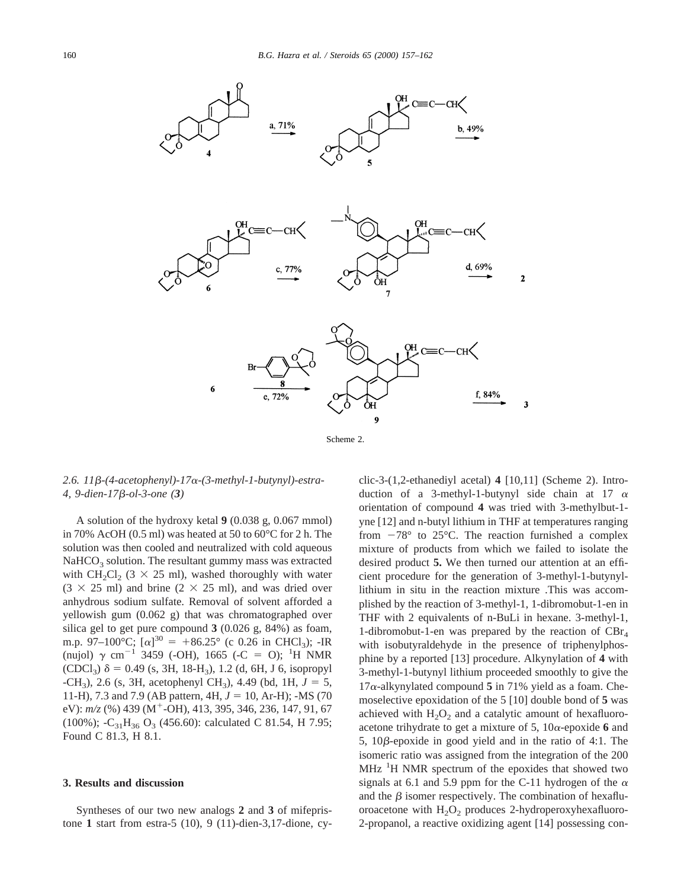

## *2.6. 11*b*-(4-acetophenyl)-17*a*-(3-methyl-1-butynyl)-estra-4, 9-dien-17*b*-ol-3-one (3)*

A solution of the hydroxy ketal **9** (0.038 g, 0.067 mmol) in 70% AcOH (0.5 ml) was heated at 50 to 60°C for 2 h. The solution was then cooled and neutralized with cold aqueous  $NaHCO<sub>3</sub>$  solution. The resultant gummy mass was extracted with CH<sub>2</sub>Cl<sub>2</sub> (3  $\times$  25 ml), washed thoroughly with water  $(3 \times 25 \text{ ml})$  and brine  $(2 \times 25 \text{ ml})$ , and was dried over anhydrous sodium sulfate. Removal of solvent afforded a yellowish gum (0.062 g) that was chromatographed over silica gel to get pure compound **3** (0.026 g, 84%) as foam, m.p. 97–100°C;  $[\alpha]^{30} = +86.25^{\circ}$  (c 0.26 in CHCl<sub>3</sub>); -IR (nujol)  $\gamma$  cm<sup>-1</sup> 3459 (-OH), 1665 (-C = O); <sup>1</sup>H NMR  $(CDCl_3)$   $\delta = 0.49$  (s, 3H, 18-H<sub>3</sub>), 1.2 (d, 6H, J 6, isopropyl  $-CH_3$ ), 2.6 (s, 3H, acetophenyl CH<sub>3</sub>), 4.49 (bd, 1H,  $J = 5$ , 11-H), 7.3 and 7.9 (AB pattern, 4H,  $J = 10$ , Ar-H); -MS (70) eV):  $m/z$  (%) 439 (M<sup>+</sup>-OH), 413, 395, 346, 236, 147, 91, 67 (100%);  $-C_{31}H_{36}O_3$  (456.60): calculated C 81.54, H 7.95; Found C 81.3, H 8.1.

#### **3. Results and discussion**

Syntheses of our two new analogs **2** and **3** of mifepristone **1** start from estra-5 (10), 9 (11)-dien-3,17-dione, cyclic-3-(1,2-ethanediyl acetal) **4** [10,11] (Scheme 2). Introduction of a 3-methyl-1-butynyl side chain at 17  $\alpha$ orientation of compound **4** was tried with 3-methylbut-1 yne [12] and n-butyl lithium in THF at temperatures ranging from  $-78^\circ$  to 25 $^\circ$ C. The reaction furnished a complex mixture of products from which we failed to isolate the desired product **5.** We then turned our attention at an efficient procedure for the generation of 3-methyl-1-butynyllithium in situ in the reaction mixture .This was accomplished by the reaction of 3-methyl-1, 1-dibromobut-1-en in THF with 2 equivalents of n-BuLi in hexane. 3-methyl-1, 1-dibromobut-1-en was prepared by the reaction of  $CBr<sub>4</sub>$ with isobutyraldehyde in the presence of triphenylphosphine by a reported [13] procedure. Alkynylation of **4** with 3-methyl-1-butynyl lithium proceeded smoothly to give the  $17\alpha$ -alkynylated compound 5 in 71% yield as a foam. Chemoselective epoxidation of the 5 [10] double bond of **5** was achieved with  $H_2O_2$  and a catalytic amount of hexafluoroacetone trihydrate to get a mixture of 5,  $10\alpha$ -epoxide 6 and 5,  $10\beta$ -epoxide in good yield and in the ratio of 4:1. The isomeric ratio was assigned from the integration of the 200 MHz<sup>1</sup>H NMR spectrum of the epoxides that showed two signals at 6.1 and 5.9 ppm for the C-11 hydrogen of the  $\alpha$ and the  $\beta$  isomer respectively. The combination of hexafluoroacetone with  $H_2O_2$  produces 2-hydroperoxyhexafluoro-2-propanol, a reactive oxidizing agent [14] possessing con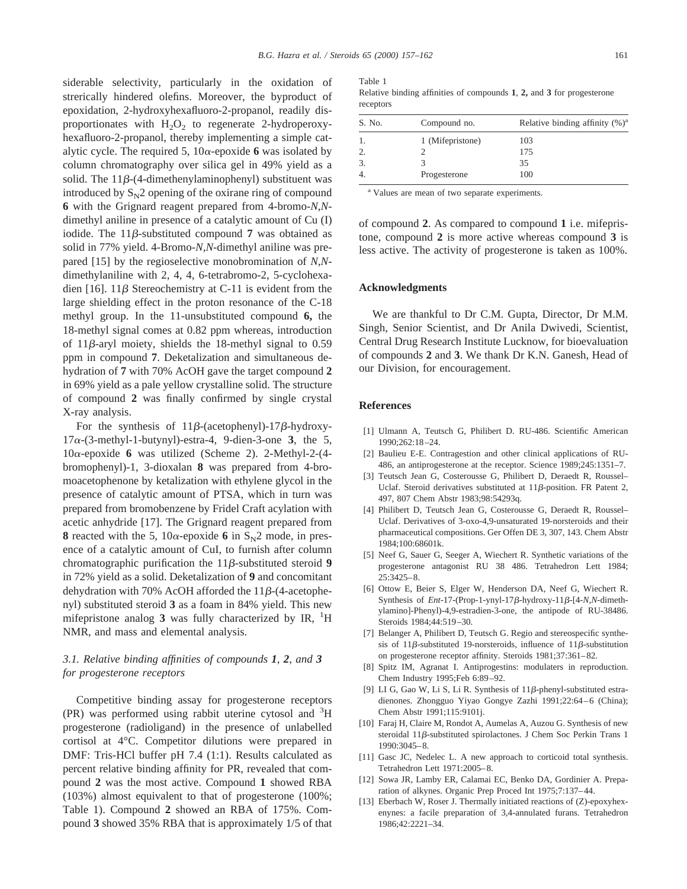siderable selectivity, particularly in the oxidation of strerically hindered olefins. Moreover, the byproduct of epoxidation, 2-hydroxyhexafluoro-2-propanol, readily disproportionates with  $H_2O_2$  to regenerate 2-hydroperoxyhexafluoro-2-propanol, thereby implementing a simple catalytic cycle. The required 5,  $10\alpha$ -epoxide 6 was isolated by column chromatography over silica gel in 49% yield as a solid. The  $11\beta$ -(4-dimethenylaminophenyl) substituent was introduced by  $S_N^2$  opening of the oxirane ring of compound **6** with the Grignard reagent prepared from 4-bromo-*N*,*N*dimethyl aniline in presence of a catalytic amount of Cu (I) iodide. The  $11\beta$ -substituted compound 7 was obtained as solid in 77% yield. 4-Bromo-*N*,*N*-dimethyl aniline was prepared [15] by the regioselective monobromination of *N*,*N*dimethylaniline with 2, 4, 4, 6-tetrabromo-2, 5-cyclohexadien [16]. 11 $\beta$  Stereochemistry at C-11 is evident from the large shielding effect in the proton resonance of the C-18 methyl group. In the 11-unsubstituted compound **6,** the 18-methyl signal comes at 0.82 ppm whereas, introduction of  $11\beta$ -aryl moiety, shields the 18-methyl signal to 0.59 ppm in compound **7**. Deketalization and simultaneous dehydration of **7** with 70% AcOH gave the target compound **2** in 69% yield as a pale yellow crystalline solid. The structure of compound **2** was finally confirmed by single crystal X-ray analysis.

For the synthesis of  $11\beta$ -(acetophenyl)-17 $\beta$ -hydroxy- $17\alpha$ -(3-methyl-1-butynyl)-estra-4, 9-dien-3-one **3**, the 5,  $10\alpha$ -epoxide 6 was utilized (Scheme 2). 2-Methyl-2- $(4$ bromophenyl)-1, 3-dioxalan **8** was prepared from 4-bromoacetophenone by ketalization with ethylene glycol in the presence of catalytic amount of PTSA, which in turn was prepared from bromobenzene by Fridel Craft acylation with acetic anhydride [17]. The Grignard reagent prepared from **8** reacted with the 5, 10 $\alpha$ -epoxide 6 in S<sub>N</sub>2 mode, in presence of a catalytic amount of CuI, to furnish after column chromatographic purification the  $11\beta$ -substituted steroid **9** in 72% yield as a solid. Deketalization of **9** and concomitant dehydration with 70% AcOH afforded the  $11\beta$ -(4-acetophenyl) substituted steroid **3** as a foam in 84% yield. This new mifepristone analog 3 was fully characterized by IR, <sup>1</sup>H NMR, and mass and elemental analysis.

# *3.1. Relative binding affinities of compounds 1, 2, and 3 for progesterone receptors*

Competitive binding assay for progesterone receptors (PR) was performed using rabbit uterine cytosol and <sup>3</sup>H progesterone (radioligand) in the presence of unlabelled cortisol at 4°C. Competitor dilutions were prepared in DMF: Tris-HCl buffer pH 7.4 (1:1). Results calculated as percent relative binding affinity for PR, revealed that compound **2** was the most active. Compound **1** showed RBA (103%) almost equivalent to that of progesterone (100%; Table 1). Compound **2** showed an RBA of 175%. Compound **3** showed 35% RBA that is approximately 1/5 of that

| Relative binding affinity $(\%)^a$ |
|------------------------------------|
|                                    |
|                                    |
|                                    |
|                                    |
|                                    |

<sup>a</sup> Values are mean of two separate experiments.

of compound **2**. As compared to compound **1** i.e. mifepristone, compound **2** is more active whereas compound **3** is less active. The activity of progesterone is taken as 100%.

#### **Acknowledgments**

We are thankful to Dr C.M. Gupta, Director, Dr M.M. Singh, Senior Scientist, and Dr Anila Dwivedi, Scientist, Central Drug Research Institute Lucknow, for bioevaluation of compounds **2** and **3**. We thank Dr K.N. Ganesh, Head of our Division, for encouragement.

#### **References**

- [1] Ulmann A, Teutsch G, Philibert D. RU-486. Scientific American  $1990.262.18 - 24$
- [2] Baulieu E-E. Contragestion and other clinical applications of RU-486, an antiprogesterone at the receptor. Science 1989;245:1351–7.
- [3] Teutsch Jean G, Costerousse G, Philibert D, Deraedt R, Roussel– Uclaf. Steroid derivatives substituted at  $11\beta$ -position. FR Patent 2, 497, 807 Chem Abstr 1983;98:54293q.
- [4] Philibert D, Teutsch Jean G, Costerousse G, Deraedt R, Roussel– Uclaf. Derivatives of 3-oxo-4,9-unsaturated 19-norsteroids and their pharmaceutical compositions. Ger Offen DE 3, 307, 143. Chem Abstr 1984;100:68601k.
- [5] Neef G, Sauer G, Seeger A, Wiechert R. Synthetic variations of the progesterone antagonist RU 38 486. Tetrahedron Lett 1984; 25:3425–8.
- [6] Ottow E, Beier S, Elger W, Henderson DA, Neef G, Wiechert R. Synthesis of *Ent*-17-(Prop-1-ynyl-17 $\beta$ -hydroxy-11 $\beta$ -[4-*N*,*N*-dimethylamino]-Phenyl)-4,9-estradien-3-one, the antipode of RU-38486. Steroids 1984;44:519–30.
- [7] Belanger A, Philibert D, Teutsch G. Regio and stereospecific synthesis of 11 $\beta$ -substituted 19-norsteroids, influence of 11 $\beta$ -substitution on progesterone receptor affinity. Steroids 1981;37:361–82.
- [8] Spitz IM, Agranat I. Antiprogestins: modulaters in reproduction. Chem Industry 1995;Feb 6:89–92.
- [9] LI G, Gao W, Li S, Li R. Synthesis of  $11\beta$ -phenyl-substituted estradienones. Zhongguo Yiyao Gongye Zazhi 1991;22:64–6 (China); Chem Abstr 1991;115:9101j.
- [10] Faraj H, Claire M, Rondot A, Aumelas A, Auzou G. Synthesis of new steroidal 11ß-substituted spirolactones. J Chem Soc Perkin Trans 1 1990:3045–8.
- [11] Gasc JC, Nedelec L. A new approach to corticoid total synthesis. Tetrahedron Lett 1971:2005–8.
- [12] Sowa JR, Lamby ER, Calamai EC, Benko DA, Gordinier A. Preparation of alkynes. Organic Prep Proced Int 1975;7:137–44.
- [13] Eberbach W, Roser J. Thermally initiated reactions of (Z)-epoxyhexenynes: a facile preparation of 3,4-annulated furans. Tetrahedron 1986;42:2221–34.

Table 1 Relative binding affinities of compounds **1**, **2,** and **3** for progesterone receptors